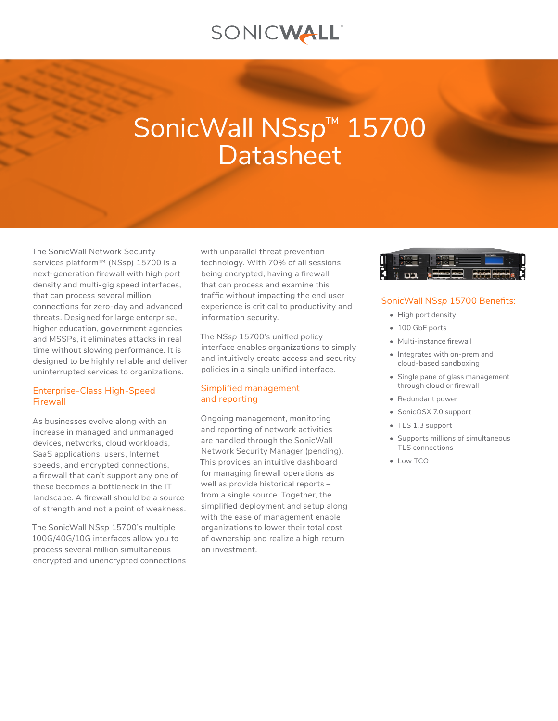## SONICWALL®

# SonicWall NS*sp*™ 15700 **Datasheet**

The SonicWall Network Security services platform™ (NS*sp*) 15700 is a next-generation firewall with high port density and multi-gig speed interfaces, that can process several million connections for zero-day and advanced threats. Designed for large enterprise, higher education, government agencies and MSSPs, it eliminates attacks in real time without slowing performance. It is designed to be highly reliable and deliver uninterrupted services to organizations.

### Enterprise-Class High-Speed Firewall

As businesses evolve along with an increase in managed and unmanaged devices, networks, cloud workloads, SaaS applications, users, Internet speeds, and encrypted connections, a firewall that can't support any one of these becomes a bottleneck in the IT landscape. A firewall should be a source of strength and not a point of weakness.

The SonicWall NS*sp* 15700's multiple 100G/40G/10G interfaces allow you to process several million simultaneous encrypted and unencrypted connections with unparallel threat prevention technology. With 70% of all sessions being encrypted, having a firewall that can process and examine this traffic without impacting the end user experience is critical to productivity and information security.

The NS*sp* 15700's unified policy interface enables organizations to simply and intuitively create access and security policies in a single unified interface.

## Simplified management and reporting

Ongoing management, monitoring and reporting of network activities are handled through the SonicWall Network Security Manager (pending). This provides an intuitive dashboard for managing firewall operations as well as provide historical reports – from a single source. Together, the simplified deployment and setup along with the ease of management enable organizations to lower their total cost of ownership and realize a high return on investment.



## SonicWall NS*sp* 15700 Benefits:

- High port density
- 100 GbE ports
- Multi-instance firewall
- Integrates with on-prem and cloud-based sandboxing
- Single pane of glass management through cloud or firewall
- Redundant power
- SonicOSX 7.0 support
- TLS 1.3 support
- Supports millions of simultaneous TLS connections
- Low TCO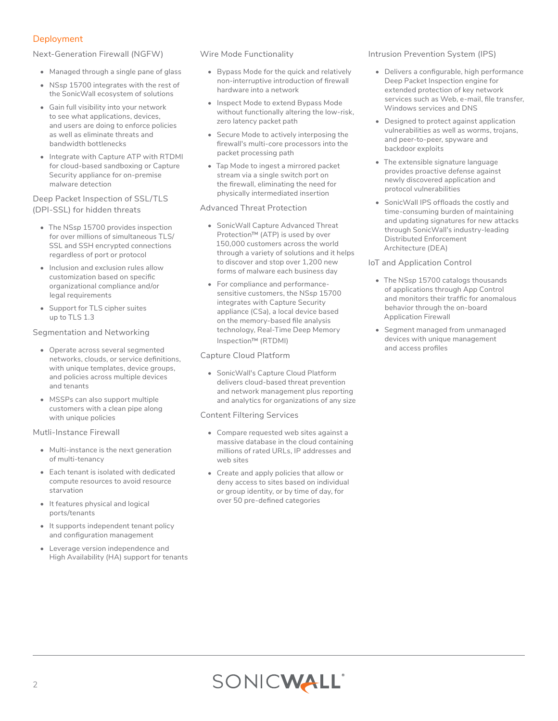## Deployment

Next-Generation Firewall (NGFW)

- Managed through a single pane of glass
- NS*sp* 15700 integrates with the rest of the SonicWall ecosystem of solutions
- Gain full visibility into your network to see what applications, devices, and users are doing to enforce policies as well as eliminate threats and bandwidth bottlenecks
- Integrate with Capture ATP with RTDMI for cloud-based sandboxing or Capture Security appliance for on-premise malware detection

#### Deep Packet Inspection of SSL/TLS (DPI-SSL) for hidden threats

- The NS*sp* 15700 provides inspection for over millions of simultaneous TLS/ SSL and SSH encrypted connections regardless of port or protocol
- Inclusion and exclusion rules allow customization based on specific organizational compliance and/or legal requirements
- Support for TLS cipher suites up to TLS 1.3

Segmentation and Networking

- Operate across several segmented networks, clouds, or service definitions, with unique templates, device groups, and policies across multiple devices and tenants
- MSSPs can also support multiple customers with a clean pipe along with unique policies

Mutli-Instance Firewall

- Multi-instance is the next generation of multi-tenancy
- Each tenant is isolated with dedicated compute resources to avoid resource starvation
- It features physical and logical ports/tenants
- It supports independent tenant policy and configuration management
- Leverage version independence and High Availability (HA) support for tenants

Wire Mode Functionality

- Bypass Mode for the quick and relatively non-interruptive introduction of firewall hardware into a network
- Inspect Mode to extend Bypass Mode without functionally altering the low-risk, zero latency packet path
- Secure Mode to actively interposing the firewall's multi-core processors into the packet processing path
- Tap Mode to ingest a mirrored packet stream via a single switch port on the firewall, eliminating the need for physically intermediated insertion

#### Advanced Threat Protection

- SonicWall Capture Advanced Threat Protection™ (ATP) is used by over 150,000 customers across the world through a variety of solutions and it helps to discover and stop over 1,200 new forms of malware each business day
- For compliance and performancesensitive customers, the NS*sp* 15700 integrates with Capture Security appliance (CS*a*), a local device based on the memory-based file analysis technology, Real-Time Deep Memory Inspection™ (RTDMI)

## Capture Cloud Platform

• SonicWall's Capture Cloud Platform delivers cloud-based threat prevention and network management plus reporting and analytics for organizations of any size

## Content Filtering Services

- Compare requested web sites against a massive database in the cloud containing millions of rated URLs, IP addresses and web sites
- Create and apply policies that allow or deny access to sites based on individual or group identity, or by time of day, for over 50 pre-defined categories

#### Intrusion Prevention System (IPS)

- Delivers a configurable, high performance Deep Packet Inspection engine for extended protection of key network services such as Web, e-mail, file transfer, Windows services and DNS
- Designed to protect against application vulnerabilities as well as worms, trojans, and peer-to-peer, spyware and backdoor exploits
- The extensible signature language provides proactive defense against newly discovered application and protocol vulnerabilities
- SonicWall IPS offloads the costly and time-consuming burden of maintaining and updating signatures for new attacks through SonicWall's industry-leading Distributed Enforcement Architecture (DEA)

## IoT and Application Control

- The NS*sp* 15700 catalogs thousands of applications through App Control and monitors their traffic for anomalous behavior through the on-board Application Firewall
- Segment managed from unmanaged devices with unique management and access profiles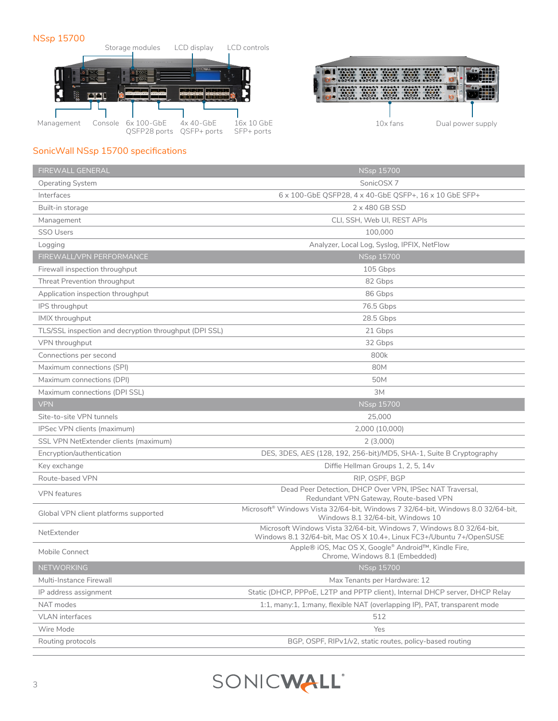## NS*sp* 15700





## SonicWall NS*sp* 15700 specifications

| <b>FIREWALL GENERAL</b>                                | <b>NSsp 15700</b>                                                                                                                            |
|--------------------------------------------------------|----------------------------------------------------------------------------------------------------------------------------------------------|
| <b>Operating System</b>                                | SonicOSX <sub>7</sub>                                                                                                                        |
| Interfaces                                             | 6 x 100-GbE QSFP28, 4 x 40-GbE QSFP+, 16 x 10 GbE SFP+                                                                                       |
| Built-in storage                                       | 2 x 480 GB SSD                                                                                                                               |
| Management                                             | CLI, SSH, Web UI, REST APIs                                                                                                                  |
| <b>SSO Users</b>                                       | 100,000                                                                                                                                      |
| Logging                                                | Analyzer, Local Log, Syslog, IPFIX, NetFlow                                                                                                  |
| FIREWALL/VPN PERFORMANCE                               | <b>NSsp 15700</b>                                                                                                                            |
| Firewall inspection throughput                         | 105 Gbps                                                                                                                                     |
| Threat Prevention throughput                           | 82 Gbps                                                                                                                                      |
| Application inspection throughput                      | 86 Gbps                                                                                                                                      |
| IPS throughput                                         | 76.5 Gbps                                                                                                                                    |
| IMIX throughput                                        | 28.5 Gbps                                                                                                                                    |
| TLS/SSL inspection and decryption throughput (DPI SSL) | 21 Gbps                                                                                                                                      |
| VPN throughput                                         | 32 Gbps                                                                                                                                      |
| Connections per second                                 | 800k                                                                                                                                         |
| Maximum connections (SPI)                              | 80M                                                                                                                                          |
| Maximum connections (DPI)                              | 50M                                                                                                                                          |
| Maximum connections (DPI SSL)                          | ЗМ                                                                                                                                           |
| <b>VPN</b>                                             | <b>NSsp 15700</b>                                                                                                                            |
| Site-to-site VPN tunnels                               | 25,000                                                                                                                                       |
| IPSec VPN clients (maximum)                            | 2,000 (10,000)                                                                                                                               |
| SSL VPN NetExtender clients (maximum)                  | 2(3,000)                                                                                                                                     |
| Encryption/authentication                              | DES, 3DES, AES (128, 192, 256-bit)/MD5, SHA-1, Suite B Cryptography                                                                          |
| Key exchange                                           | Diffie Hellman Groups 1, 2, 5, 14v                                                                                                           |
| Route-based VPN                                        | RIP, OSPF, BGP                                                                                                                               |
| <b>VPN</b> features                                    | Dead Peer Detection, DHCP Over VPN, IPSec NAT Traversal,<br>Redundant VPN Gateway, Route-based VPN                                           |
| Global VPN client platforms supported                  | Microsoft® Windows Vista 32/64-bit, Windows 7 32/64-bit, Windows 8.0 32/64-bit,<br>Windows 8.1 32/64-bit, Windows 10                         |
| NetExtender                                            | Microsoft Windows Vista 32/64-bit, Windows 7, Windows 8.0 32/64-bit,<br>Windows 8.1 32/64-bit, Mac OS X 10.4+, Linux FC3+/Ubuntu 7+/OpenSUSE |
| Mobile Connect                                         | Apple® iOS, Mac OS X, Google® Android™, Kindle Fire,<br>Chrome, Windows 8.1 (Embedded)                                                       |
| <b>NETWORKING</b>                                      | <b>NSsp 15700</b>                                                                                                                            |
| Multi-Instance Firewall                                | Max Tenants per Hardware: 12                                                                                                                 |
| IP address assignment                                  | Static (DHCP, PPPoE, L2TP and PPTP client), Internal DHCP server, DHCP Relay                                                                 |
| NAT modes                                              | 1:1, many:1, 1:many, flexible NAT (overlapping IP), PAT, transparent mode                                                                    |
| <b>VLAN</b> interfaces                                 | 512                                                                                                                                          |
| Wire Mode                                              | Yes                                                                                                                                          |
| Routing protocols                                      | BGP, OSPF, RIPv1/v2, static routes, policy-based routing                                                                                     |
|                                                        |                                                                                                                                              |

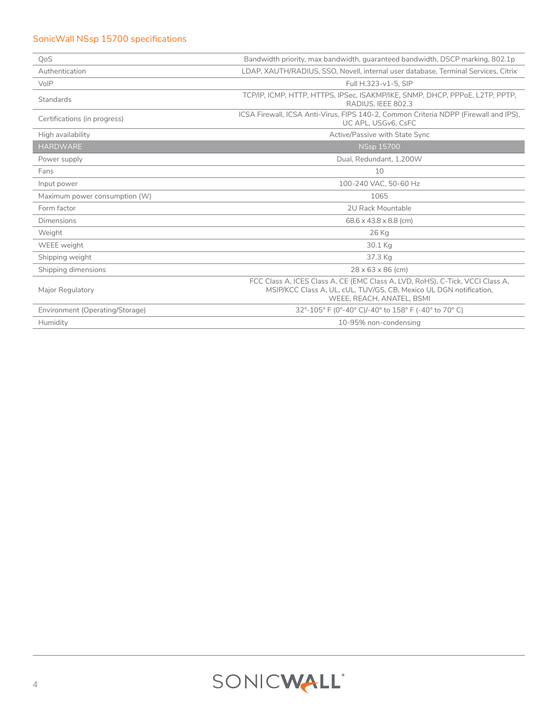## SonicWall NS*sp* 15700 specifications

| QoS                             | Bandwidth priority, max bandwidth, quaranteed bandwidth, DSCP marking, 802.1p                                                                                                    |
|---------------------------------|----------------------------------------------------------------------------------------------------------------------------------------------------------------------------------|
| Authentication                  | LDAP, XAUTH/RADIUS, SSO, Novell, internal user database, Terminal Services, Citrix                                                                                               |
| VoIP                            | Full H.323-v1-5, SIP                                                                                                                                                             |
| Standards                       | TCP/IP, ICMP, HTTP, HTTPS, IPSec, ISAKMP/IKE, SNMP, DHCP, PPPoE, L2TP, PPTP,<br>RADIUS. IEEE 802.3                                                                               |
| Certifications (in progress)    | ICSA Firewall, ICSA Anti-Virus, FIPS 140-2, Common Criteria NDPP (Firewall and IPS),<br>UC APL. USGv6. CsFC                                                                      |
| High availability               | Active/Passive with State Sync                                                                                                                                                   |
| <b>HARDWARE</b>                 | <b>NSsp 15700</b>                                                                                                                                                                |
| Power supply                    | Dual, Redundant, 1,200W                                                                                                                                                          |
| Fans                            | 10                                                                                                                                                                               |
| Input power                     | 100-240 VAC, 50-60 Hz                                                                                                                                                            |
| Maximum power consumption (W)   | 1065                                                                                                                                                                             |
| Form factor                     | 2U Rack Mountable                                                                                                                                                                |
| Dimensions                      | $68.6 \times 43.8 \times 8.8$ (cm)                                                                                                                                               |
| Weight                          | 26 Kg                                                                                                                                                                            |
| WEEE weight                     | 30.1 Kg                                                                                                                                                                          |
| Shipping weight                 | 37.3 Kg                                                                                                                                                                          |
| Shipping dimensions             | $28 \times 63 \times 86$ (cm)                                                                                                                                                    |
| Major Regulatory                | FCC Class A, ICES Class A, CE (EMC Class A, LVD, RoHS), C-Tick, VCCI Class A,<br>MSIP/KCC Class A, UL, cUL, TUV/GS, CB, Mexico UL DGN notification,<br>WEEE, REACH, ANATEL, BSMI |
| Environment (Operating/Storage) | 32°-105° F (0°-40° C)/-40° to 158° F (-40° to 70° C)                                                                                                                             |
| Humidity                        | 10-95% non-condensing                                                                                                                                                            |

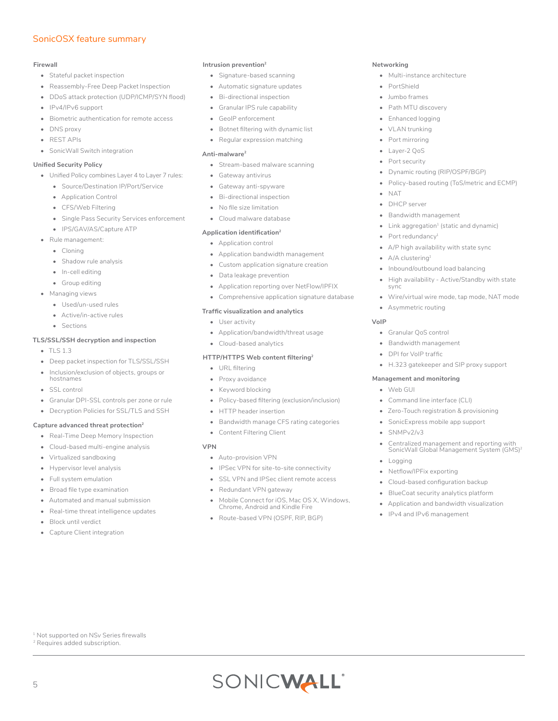### SonicOSX feature summary

#### **Firewall**

- Stateful packet inspection
- Reassembly-Free Deep Packet Inspection
- DDoS attack protection (UDP/ICMP/SYN flood)
- IPv4/IPv6 support
- Biometric authentication for remote access
- DNS proxy
- REST APIs
- SonicWall Switch integration

#### **Unified Security Policy**

- Unified Policy combines Layer 4 to Layer 7 rules:
	- Source/Destination IP/Port/Service
	- Application Control
	- CFS/Web Filtering
	- Single Pass Security Services enforcement
	- IPS/GAV/AS/Capture ATP
- Rule management:
	- Cloning
	- Shadow rule analysis
	- In-cell editing
	- Group editing
- Managing views
	- Used/un-used rules
	- Active/in-active rules
	- Sections

#### **TLS/SSL/SSH decryption and inspection**

- TLS 1.3
- Deep packet inspection for TLS/SSL/SSH
- Inclusion/exclusion of objects, groups or hostnames
- SSL control
- Granular DPI-SSL controls per zone or rule
- Decryption Policies for SSL/TLS and SSH

#### **Capture advanced threat protection<sup>2</sup>**

- Real-Time Deep Memory Inspection
- Cloud-based multi-engine analysis
- Virtualized sandboxing
- Hypervisor level analysis
- Full system emulation
- Broad file type examination
- Automated and manual submission
- Real-time threat intelligence updates
- Block until verdict

5

• Capture Client integration

1 Not supported on NS*v* Series firewalls <sup>2</sup> Requires added subscription.

#### **Intrusion prevention<sup>2</sup>**

- Signature-based scanning
- Automatic signature updates
- Bi-directional inspection
- Granular IPS rule capability
- GeoIP enforcement
- Botnet filtering with dynamic list
- Regular expression matching

#### **Anti-malware<sup>2</sup>**

- Stream-based malware scanning
- Gateway antivirus
- Gateway anti-spyware • Bi-directional inspection
- 
- No file size limitation
- Cloud malware database

#### **Application identification<sup>2</sup>**

- Application control
- Application bandwidth management
- Custom application signature creation
- Data leakage prevention
- Application reporting over NetFlow/IPFIX
- Comprehensive application signature database

#### **Traffic visualization and analytics**

- User activity
- Application/bandwidth/threat usage
- Cloud-based analytics

#### **HTTP/HTTPS Web content filtering<sup>2</sup>**

- URL filtering
- Proxy avoidance
- Keyword blocking
- Policy-based filtering (exclusion/inclusion)
- HTTP header insertion
- Bandwidth manage CFS rating categories
- Content Filtering Client

#### **VPN**

- Auto-provision VPN
- IPSec VPN for site-to-site connectivity
- SSL VPN and IPSec client remote access
- Redundant VPN gateway
- Mobile Connect for iOS, Mac OS X, Windows, Chrome, Android and Kindle Fire

SONICWALL®

• Route-based VPN (OSPF, RIP, BGP)

#### **Networking**

- Multi-instance architecture
- PortShield
- Jumbo frames
- Path MTU discovery
- Enhanced logging
- VLAN trunking
- Port mirroring
- Layer-2 QoS
- Port security
- Dynamic routing (RIP/OSPF/BGP)

 $\bullet$  Link aggregation<sup>1</sup> (static and dynamic)

A/P high availability with state sync

• Inbound/outbound load balancing

• High availability - Active/Standby with state

• Wire/virtual wire mode, tap mode, NAT mode

• H.323 gatekeeper and SIP proxy support

• Zero-Touch registration & provisioning • SonicExpress mobile app support

• Cloud-based configuration backup • BlueCoat security analytics platform • Application and bandwidth visualization

• Centralized management and reporting with<br>SonicWall Global Management System (GMS)<sup>2</sup>

- Policy-based routing (ToS/metric and ECMP)
- NAT
- DHCP server

• Port redundancy<sup>1</sup>

• A/A clustering<sup>1</sup>

sync

**VoIP**

• Bandwidth management

• Asymmetric routing

• Granular QoS control • Bandwidth management • DPI for VoIP traffic

**Management and monitoring**

• Command line interface (CLI)

• Web GUI

• SNMPv2/v3

• Netflow/IPFix exporting

• IPv4 and IPv6 management

• Logging